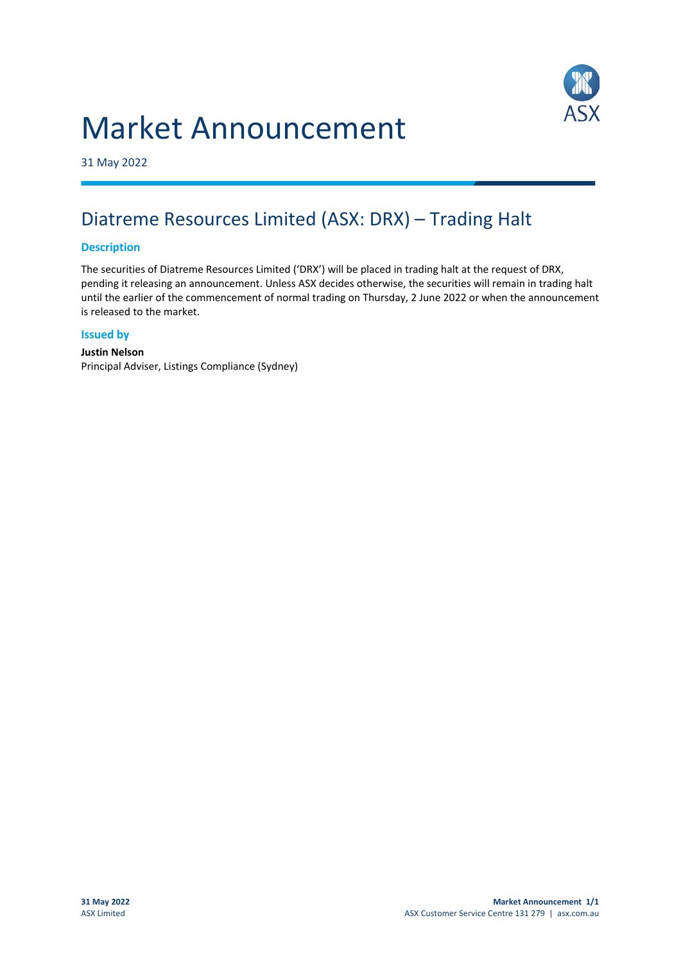# Market Announcement



31 May 2022

## Diatreme Resources Limited (ASX: DRX) – Trading Halt

#### **Description**

The securities of Diatreme Resources Limited ('DRX') will be placed in trading halt at the request of DRX, pending it releasing an announcement. Unless ASX decides otherwise, the securities will remain in trading halt until the earlier of the commencement of normal trading on Thursday, 2 June 2022 or when the announcement is released to the market.

#### **Issued by**

#### **Justin Nelson** Principal Adviser, Listings Compliance (Sydney)